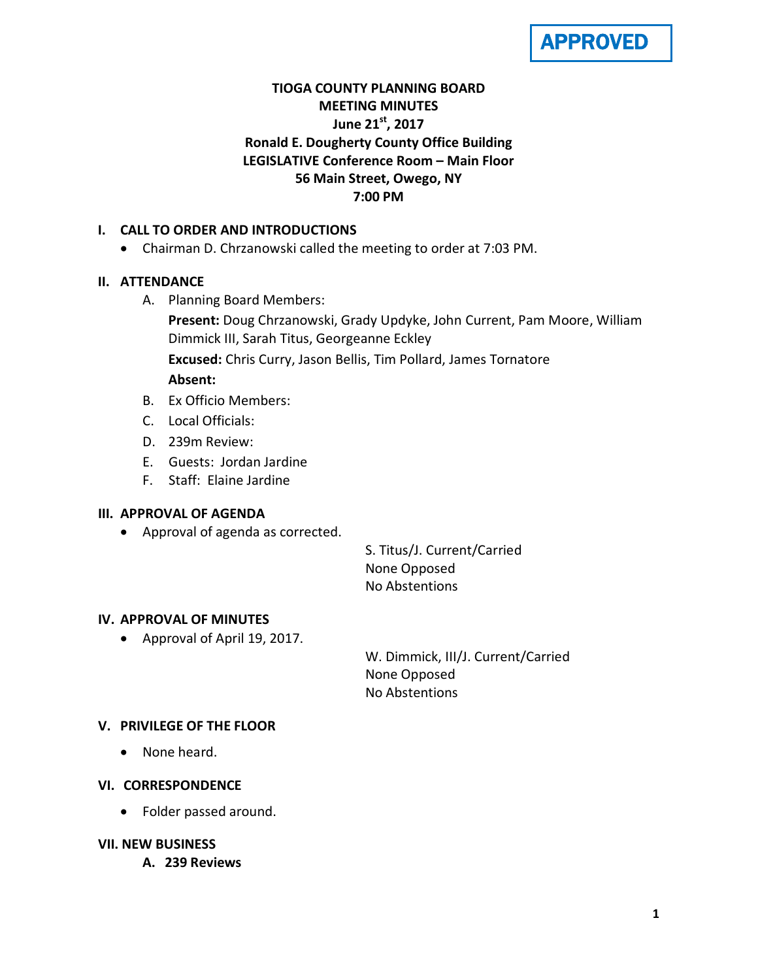

# **TIOGA COUNTY PLANNING BOARD MEETING MINUTES June 21st, 2017 Ronald E. Dougherty County Office Building LEGISLATIVE Conference Room – Main Floor 56 Main Street, Owego, NY 7:00 PM**

## **I. CALL TO ORDER AND INTRODUCTIONS**

• Chairman D. Chrzanowski called the meeting to order at 7:03 PM.

## **II. ATTENDANCE**

A. Planning Board Members:

**Present:** Doug Chrzanowski, Grady Updyke, John Current, Pam Moore, William Dimmick III, Sarah Titus, Georgeanne Eckley **Excused:** Chris Curry, Jason Bellis, Tim Pollard, James Tornatore

## **Absent:**

- B. Ex Officio Members:
- C. Local Officials:
- D. 239m Review:
- E. Guests: Jordan Jardine
- F. Staff: Elaine Jardine

# **III. APPROVAL OF AGENDA**

• Approval of agenda as corrected.

S. Titus/J. Current/Carried None Opposed No Abstentions

## **IV. APPROVAL OF MINUTES**

• Approval of April 19, 2017.

W. Dimmick, III/J. Current/Carried None Opposed No Abstentions

## **V. PRIVILEGE OF THE FLOOR**

• None heard.

## **VI. CORRESPONDENCE**

• Folder passed around.

## **VII. NEW BUSINESS**

**A. 239 Reviews**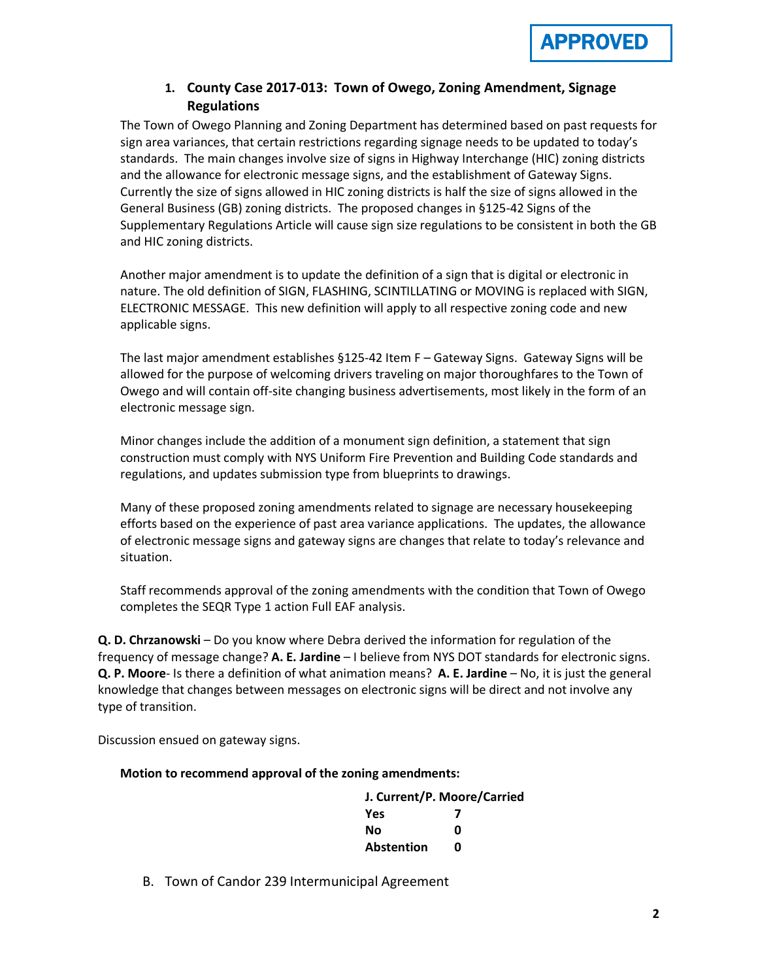

## **1. County Case 2017-013: Town of Owego, Zoning Amendment, Signage Regulations**

The Town of Owego Planning and Zoning Department has determined based on past requests for sign area variances, that certain restrictions regarding signage needs to be updated to today's standards. The main changes involve size of signs in Highway Interchange (HIC) zoning districts and the allowance for electronic message signs, and the establishment of Gateway Signs. Currently the size of signs allowed in HIC zoning districts is half the size of signs allowed in the General Business (GB) zoning districts. The proposed changes in §125-42 Signs of the Supplementary Regulations Article will cause sign size regulations to be consistent in both the GB and HIC zoning districts.

Another major amendment is to update the definition of a sign that is digital or electronic in nature. The old definition of SIGN, FLASHING, SCINTILLATING or MOVING is replaced with SIGN, ELECTRONIC MESSAGE. This new definition will apply to all respective zoning code and new applicable signs.

The last major amendment establishes §125-42 Item F – Gateway Signs. Gateway Signs will be allowed for the purpose of welcoming drivers traveling on major thoroughfares to the Town of Owego and will contain off-site changing business advertisements, most likely in the form of an electronic message sign.

Minor changes include the addition of a monument sign definition, a statement that sign construction must comply with NYS Uniform Fire Prevention and Building Code standards and regulations, and updates submission type from blueprints to drawings.

Many of these proposed zoning amendments related to signage are necessary housekeeping efforts based on the experience of past area variance applications. The updates, the allowance of electronic message signs and gateway signs are changes that relate to today's relevance and situation.

Staff recommends approval of the zoning amendments with the condition that Town of Owego completes the SEQR Type 1 action Full EAF analysis.

**Q. D. Chrzanowski** – Do you know where Debra derived the information for regulation of the frequency of message change? **A. E. Jardine** – I believe from NYS DOT standards for electronic signs. **Q. P. Moore**- Is there a definition of what animation means? **A. E. Jardine** – No, it is just the general knowledge that changes between messages on electronic signs will be direct and not involve any type of transition.

Discussion ensued on gateway signs.

#### **Motion to recommend approval of the zoning amendments:**

| J. Current/P. Moore/Carried |   |
|-----------------------------|---|
| <b>Yes</b>                  |   |
| No                          | Ω |
| Abstention                  | n |

B. Town of Candor 239 Intermunicipal Agreement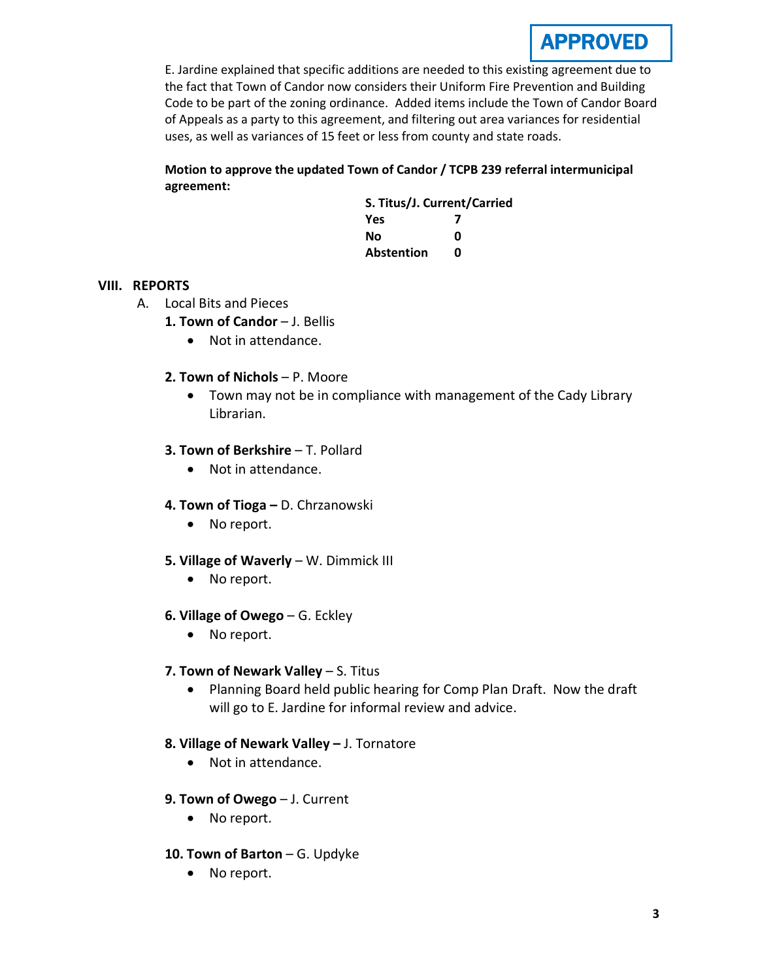

E. Jardine explained that specific additions are needed to this existing agreement due to the fact that Town of Candor now considers their Uniform Fire Prevention and Building Code to be part of the zoning ordinance. Added items include the Town of Candor Board of Appeals as a party to this agreement, and filtering out area variances for residential uses, as well as variances of 15 feet or less from county and state roads.

## **Motion to approve the updated Town of Candor / TCPB 239 referral intermunicipal agreement:**

**S. Titus/J. Current/Carried Yes 7 No 0 Abstention 0**

## **VIII. REPORTS**

- A. Local Bits and Pieces
	- 1. Town of Candor J. Bellis
		- Not in attendance.
	- **2. Town of Nichols**  P. Moore
		- Town may not be in compliance with management of the Cady Library Librarian.

#### **3. Town of Berkshire - T. Pollard**

• Not in attendance.

#### **4. Town of Tioga –** D. Chrzanowski

• No report.

#### **5. Village of Waverly** – W. Dimmick III

- No report.
- **6. Village of Owego** G. Eckley
	- No report.

#### **7. Town of Newark Valley** – S. Titus

• Planning Board held public hearing for Comp Plan Draft. Now the draft will go to E. Jardine for informal review and advice.

## **8. Village of Newark Valley –** J. Tornatore

- Not in attendance.
- **9. Town of Owego** J. Current
	- No report.
- **10. Town of Barton** G. Updyke
	- No report.